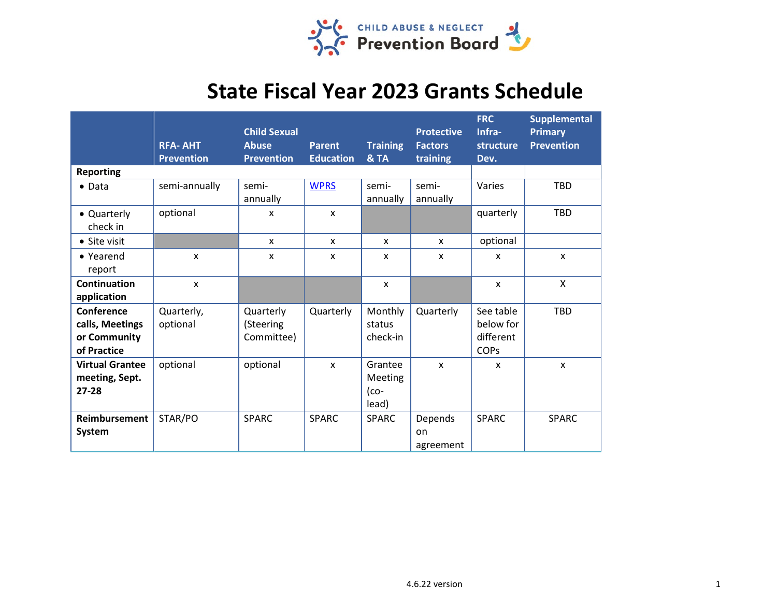

# **State Fiscal Year 2023 Grants Schedule**

|                                                              | <b>RFA-AHT</b><br><b>Prevention</b> | <b>Child Sexual</b><br><b>Abuse</b><br><b>Prevention</b> | <b>Parent</b><br><b>Education</b> | <b>Training</b><br><b>&amp; TA</b>    | <b>Protective</b><br><b>Factors</b><br>training | <b>FRC</b><br>Infra-<br>structure<br>Dev.          | <b>Supplemental</b><br><b>Primary</b><br><b>Prevention</b> |
|--------------------------------------------------------------|-------------------------------------|----------------------------------------------------------|-----------------------------------|---------------------------------------|-------------------------------------------------|----------------------------------------------------|------------------------------------------------------------|
| <b>Reporting</b>                                             |                                     |                                                          |                                   |                                       |                                                 |                                                    |                                                            |
| $\bullet$ Data                                               | semi-annually                       | semi-<br>annually                                        | <b>WPRS</b>                       | semi-<br>annually                     | semi-<br>annually                               | Varies                                             | <b>TBD</b>                                                 |
| • Quarterly<br>check in                                      | optional                            | X                                                        | X                                 |                                       |                                                 | quarterly                                          | <b>TBD</b>                                                 |
| $\bullet$ Site visit                                         |                                     | $\mathsf{x}$                                             | $\mathsf{x}$                      | X                                     | X                                               | optional                                           |                                                            |
| • Yearend<br>report                                          | X                                   | $\boldsymbol{\mathsf{x}}$                                | $\mathsf{x}$                      | X                                     | $\mathsf{x}$                                    | $\mathsf{x}$                                       | $\mathsf{x}$                                               |
| Continuation<br>application                                  | $\mathsf{x}$                        |                                                          |                                   | $\mathsf{x}$                          |                                                 | $\mathsf{x}$                                       | $\mathsf{X}$                                               |
| Conference<br>calls, Meetings<br>or Community<br>of Practice | Quarterly,<br>optional              | Quarterly<br>(Steering<br>Committee)                     | Quarterly                         | Monthly<br>status<br>check-in         | Quarterly                                       | See table<br>below for<br>different<br><b>COPs</b> | <b>TBD</b>                                                 |
| <b>Virtual Grantee</b><br>meeting, Sept.<br>$27 - 28$        | optional                            | optional                                                 | $\mathsf{x}$                      | Grantee<br>Meeting<br>$(co-$<br>lead) | $\mathsf{x}$                                    | $\mathsf{x}$                                       | $\mathsf{x}$                                               |
| Reimbursement<br>System                                      | STAR/PO                             | <b>SPARC</b>                                             | <b>SPARC</b>                      | <b>SPARC</b>                          | Depends<br>on<br>agreement                      | <b>SPARC</b>                                       | <b>SPARC</b>                                               |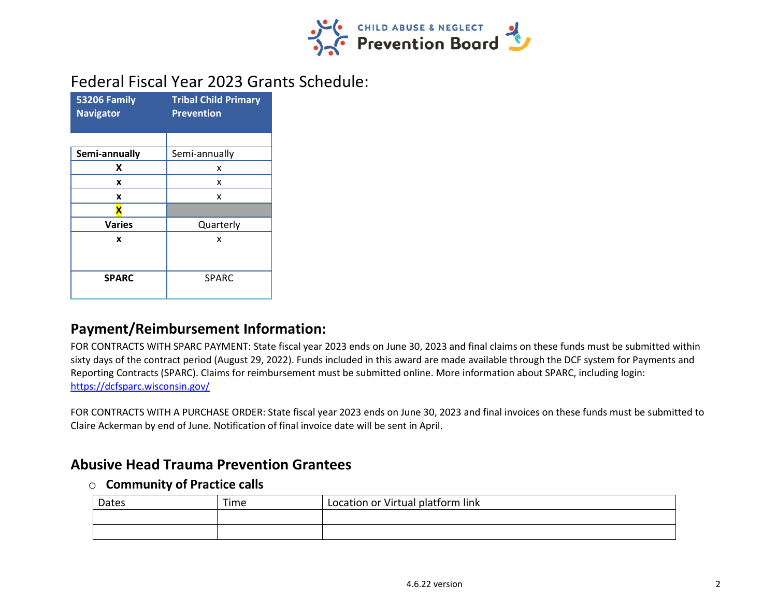

Federal Fiscal Year 2023 Grants Schedule:

| 53206 Family<br><b>Navigator</b> | <b>Tribal Child Primary</b><br><b>Prevention</b> |
|----------------------------------|--------------------------------------------------|
|                                  |                                                  |
| Semi-annually                    | Semi-annually                                    |
| X                                | x                                                |
| x                                | x                                                |
| x                                | x                                                |
|                                  |                                                  |
| <b>Varies</b>                    | Quarterly                                        |
| x                                | x                                                |
| <b>SPARC</b>                     | <b>SPARC</b>                                     |

# **Payment/Reimbursement Information:**

FOR CONTRACTS WITH SPARC PAYMENT: State fiscal year 2023 ends on June 30, 2023 and final claims on these funds must be submitted within sixty days of the contract period (August 29, 2022). Funds included in this award are made available through the DCF system for Payments and Reporting Contracts (SPARC). Claims for reimbursement must be submitted online. More information about SPARC, including login: <https://dcfsparc.wisconsin.gov/>

FOR CONTRACTS WITH A PURCHASE ORDER: State fiscal year 2023 ends on June 30, 2023 and final invoices on these funds must be submitted to Claire Ackerman by end of June. Notification of final invoice date will be sent in April.

### **Abusive Head Trauma Prevention Grantees**

#### o **Community of Practice calls**

| Dates | Time | Location or Virtual platform link |
|-------|------|-----------------------------------|
|       |      |                                   |
|       |      |                                   |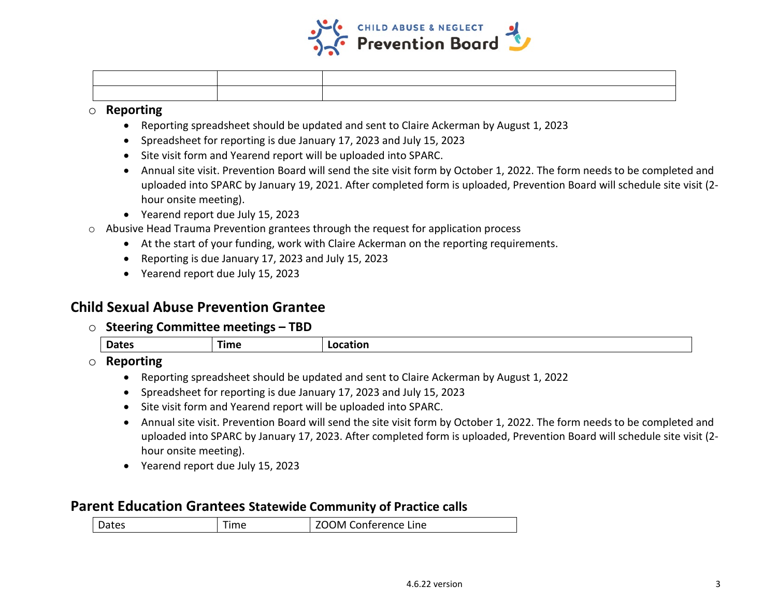

#### o **Reporting**

- Reporting spreadsheet should be updated and sent to Claire Ackerman by August 1, 2023
- Spreadsheet for reporting is due January 17, 2023 and July 15, 2023
- Site visit form and Yearend report will be uploaded into SPARC.
- Annual site visit. Prevention Board will send the site visit form by October 1, 2022. The form needs to be completed and uploaded into SPARC by January 19, 2021. After completed form is uploaded, Prevention Board will schedule site visit (2 hour onsite meeting).
- Yearend report due July 15, 2023
- o Abusive Head Trauma Prevention grantees through the request for application process
	- At the start of your funding, work with Claire Ackerman on the reporting requirements.
	- Reporting is due January 17, 2023 and July 15, 2023
	- Yearend report due July 15, 2023

# **Child Sexual Abuse Prevention Grantee**

#### o **Steering Committee meetings – TBD**

| <b>Dates</b> | ⊺ime | itior |
|--------------|------|-------|
|              |      |       |

- o **Reporting**
	- Reporting spreadsheet should be updated and sent to Claire Ackerman by August 1, 2022
	- Spreadsheet for reporting is due January 17, 2023 and July 15, 2023
	- Site visit form and Yearend report will be uploaded into SPARC.
	- Annual site visit. Prevention Board will send the site visit form by October 1, 2022. The form needs to be completed and uploaded into SPARC by January 17, 2023. After completed form is uploaded, Prevention Board will schedule site visit (2 hour onsite meeting).
	- Yearend report due July 15, 2023

#### **Parent Education Grantees Statewide Community of Practice calls**

| <b>OOM Conference Line</b><br>ïme<br>vates |
|--------------------------------------------|
|--------------------------------------------|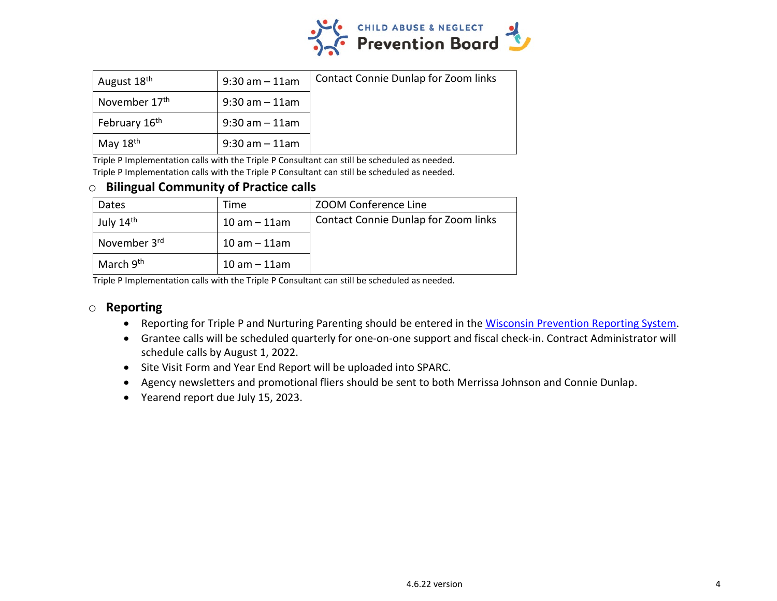

| August 18 <sup>th</sup>   | $9:30$ am $-11$ am | Contact Connie Dunlap for Zoom links |
|---------------------------|--------------------|--------------------------------------|
| November 17 <sup>th</sup> | $9:30$ am $-11$ am |                                      |
| February 16 <sup>th</sup> | $9:30$ am $-11$ am |                                      |
| May 18 <sup>th</sup>      | $9:30$ am $-11$ am |                                      |

 Triple P Implementation calls with the Triple P Consultant can still be scheduled as needed. Triple P Implementation calls with the Triple P Consultant can still be scheduled as needed.

#### o **Bilingual Community of Practice calls**

| Dates                 | Time             | ZOOM Conference Line                 |
|-----------------------|------------------|--------------------------------------|
| July 14 <sup>th</sup> | $10$ am $-$ 11am | Contact Connie Dunlap for Zoom links |
| November 3rd          | $10$ am $-$ 11am |                                      |
| March 9 <sup>th</sup> | $10$ am $-$ 11am |                                      |

Triple P Implementation calls with the Triple P Consultant can still be scheduled as needed.

#### o **Reporting**

- Reporting for Triple P and Nurturing Parenting should be entered in the [Wisconsin Prevention Reporting System.](https://wprs.daiseysolutions.org/)
- Grantee calls will be scheduled quarterly for one-on-one support and fiscal check-in. Contract Administrator will schedule calls by August 1, 2022.
- Site Visit Form and Year End Report will be uploaded into SPARC.
- Agency newsletters and promotional fliers should be sent to both Merrissa Johnson and Connie Dunlap.
- Yearend report due July 15, 2023.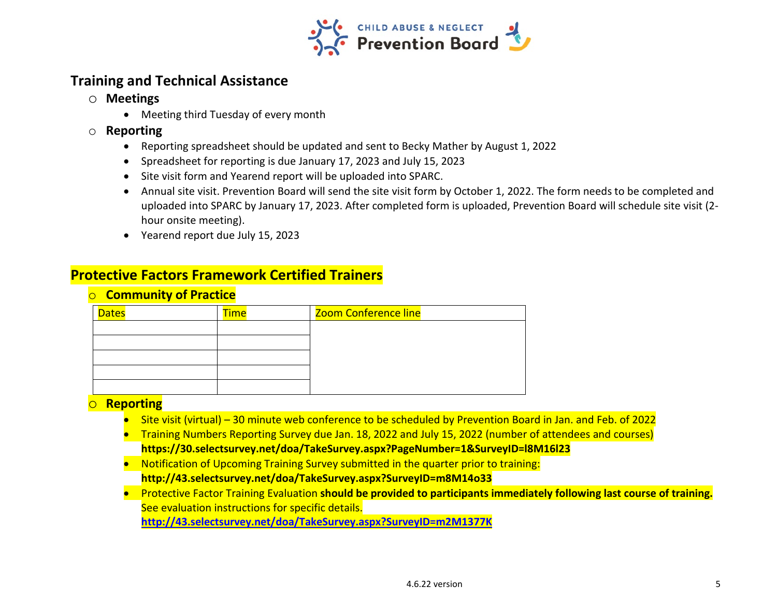

# **Training and Technical Assistance**

- o **Meetings**
	- Meeting third Tuesday of every month
- o **Reporting**
	- Reporting spreadsheet should be updated and sent to Becky Mather by August 1, 2022
	- Spreadsheet for reporting is due January 17, 2023 and July 15, 2023
	- Site visit form and Yearend report will be uploaded into SPARC.
	- Annual site visit. Prevention Board will send the site visit form by October 1, 2022. The form needs to be completed and uploaded into SPARC by January 17, 2023. After completed form is uploaded, Prevention Board will schedule site visit (2 hour onsite meeting).
	- Yearend report due July 15, 2023

# **Protective Factors Framework Certified Trainers**

o **Community of Practice**

| <b>Dates</b> | <b>Time</b> | Zoom Conference line |
|--------------|-------------|----------------------|
|              |             |                      |
|              |             |                      |
|              |             |                      |
|              |             |                      |
|              |             |                      |

#### o **Reporting**

- Site visit (virtual) 30 minute web conference to be scheduled by Prevention Board in Jan. and Feb. of 2022
- Training Numbers Reporting Survey due Jan. 18, 2022 and July 15, 2022 (number of attendees and courses) **[https://30.selectsurvey.net/doa/TakeSurvey.aspx?PageNumber=1&SurveyID=l8M16l23](https://30.selectsurvey.net/doa/TakeSurvey.aspx?PageNumber=1&SurveyID=l8M16l23&Preview=true)**
- Notification of Upcoming Training Survey submitted in the quarter prior to training: **http://43.selectsurvey.net/doa/TakeSurvey.aspx?SurveyID=m8M14o33**
- Protective Factor Training Evaluation **should be provided to participants immediately following last course of training.**  See evaluation instructions for specific details.

**<http://43.selectsurvey.net/doa/TakeSurvey.aspx?SurveyID=m2M1377K>**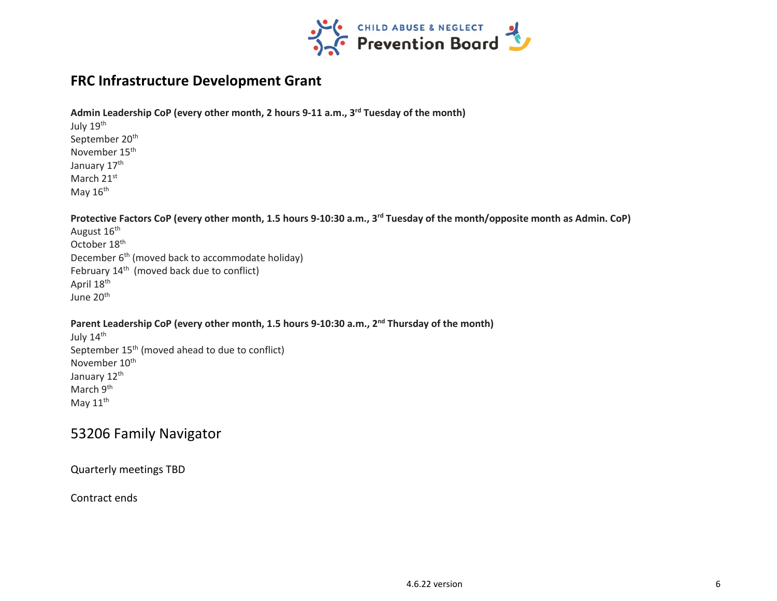

# **FRC Infrastructure Development Grant**

**Admin Leadership CoP (every other month, 2 hours 9-11 a.m., 3rd Tuesday of the month)**

July 19th September 20<sup>th</sup> November 15<sup>th</sup> January 17<sup>th</sup> March 21st May 16<sup>th</sup>

**Protective Factors CoP (every other month, 1.5 hours 9-10:30 a.m., 3rd Tuesday of the month/opposite month as Admin. CoP)**

August 16<sup>th</sup> October 18<sup>th</sup> December 6th (moved back to accommodate holiday) February 14<sup>th</sup> (moved back due to conflict) April 18<sup>th</sup> June 20<sup>th</sup>

**Parent Leadership CoP (every other month, 1.5 hours 9-10:30 a.m., 2nd Thursday of the month)**

July 14<sup>th</sup> September 15<sup>th</sup> (moved ahead to due to conflict) November 10<sup>th</sup> January 12<sup>th</sup> March 9<sup>th</sup> May  $11<sup>th</sup>$ 

# 53206 Family Navigator

Quarterly meetings TBD

Contract ends